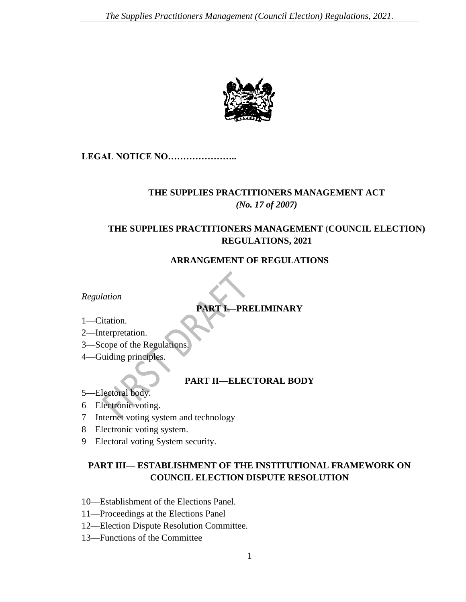

**LEGAL NOTICE NO…………………..**

# **THE SUPPLIES PRACTITIONERS MANAGEMENT ACT** *(No. 17 of 2007)*

# **THE SUPPLIES PRACTITIONERS MANAGEMENT (COUNCIL ELECTION) REGULATIONS, 2021**

**ARRANGEMENT OF REGULATIONS**

*Regulation*

# **PART I—PRELIMINARY**

- 1—Citation.
- 2—Interpretation.
- 3—Scope of the Regulations.
- 4—Guiding principles.

## **PART II—ELECTORAL BODY**

- 5—Electoral body.
- 6—Electronic voting.
- 7—Internet voting system and technology
- 8—Electronic voting system.
- 9—Electoral voting System security.

## **PART III— ESTABLISHMENT OF THE INSTITUTIONAL FRAMEWORK ON COUNCIL ELECTION DISPUTE RESOLUTION**

- 10—Establishment of the Elections Panel.
- 11—Proceedings at the Elections Panel
- 12—Election Dispute Resolution Committee.
- 13—Functions of the Committee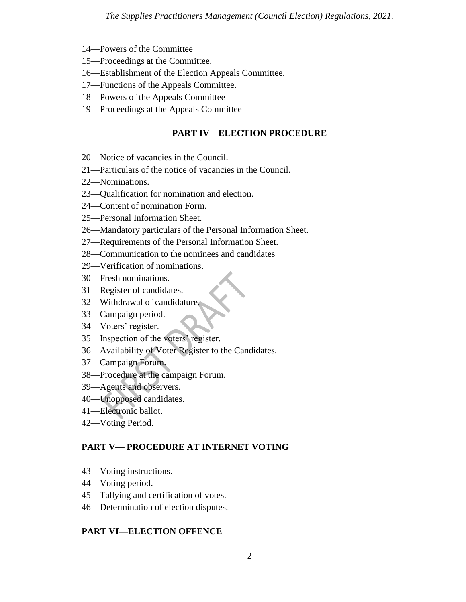- 14—Powers of the Committee
- 15—Proceedings at the Committee.
- 16—Establishment of the Election Appeals Committee.
- 17—Functions of the Appeals Committee.
- 18—Powers of the Appeals Committee
- 19—Proceedings at the Appeals Committee

#### **PART IV—ELECTION PROCEDURE**

- 20—Notice of vacancies in the Council.
- 21—Particulars of the notice of vacancies in the Council.
- 22—Nominations.
- 23—Qualification for nomination and election.
- 24—Content of nomination Form.
- 25—Personal Information Sheet.
- 26—Mandatory particulars of the Personal Information Sheet.
- 27—Requirements of the Personal Information Sheet.
- 28—Communication to the nominees and candidates
- 29—Verification of nominations.
- 30—Fresh nominations.
- 31—Register of candidates.
- 32—Withdrawal of candidature.
- 33—Campaign period.
- 34—Voters' register.
- 35—Inspection of the voters' register.
- 36—Availability of Voter Register to the Candidates.
- 37—Campaign Forum.
- 38—Procedure at the campaign Forum.
- 39—Agents and observers.
- 40—Unopposed candidates.
- 41—Electronic ballot.
- 42—Voting Period.

#### **PART V— PROCEDURE AT INTERNET VOTING**

- 43—Voting instructions.
- 44—Voting period.
- 45—Tallying and certification of votes.
- 46—Determination of election disputes.

#### **PART VI—ELECTION OFFENCE**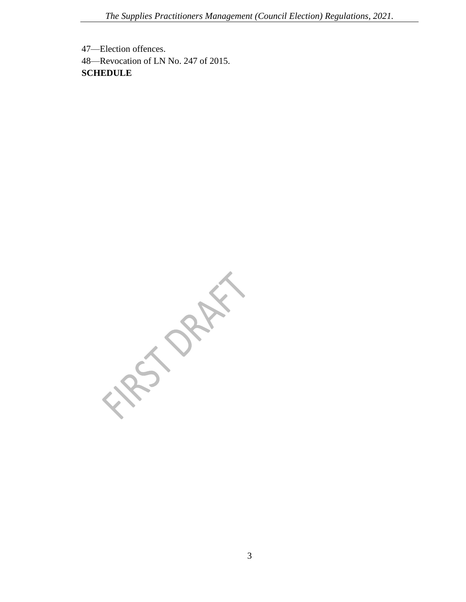47—Election offences. 48—Revocation of LN No. 247 of 2015. **SCHEDULE**

**FRO DRAFT**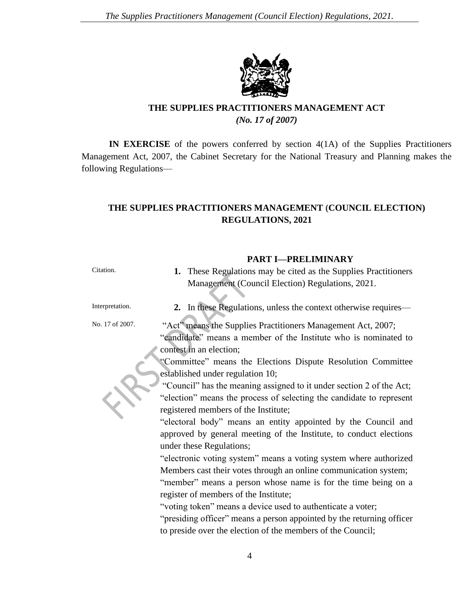

## **THE SUPPLIES PRACTITIONERS MANAGEMENT ACT** *(No. 17 of 2007)*

**IN EXERCISE** of the powers conferred by section 4(1A) of the Supplies Practitioners Management Act, 2007, the Cabinet Secretary for the National Treasury and Planning makes the following Regulations—

## **THE SUPPLIES PRACTITIONERS MANAGEMENT (COUNCIL ELECTION) REGULATIONS, 2021**

#### **PART I—PRELIMINARY**

Citation. **1.** These Regulations may be cited as the Supplies Practitioners Management (Council Election) Regulations, 2021. Interpretation. **2.** In these Regulations, unless the context otherwise requires— No. 17 of 2007. "Act" means the Supplies Practitioners Management Act, 2007; "candidate" means a member of the Institute who is nominated to contest in an election; "Committee" means the Elections Dispute Resolution Committee established under regulation 10; "Council" has the meaning assigned to it under section 2 of the Act; "election" means the process of selecting the candidate to represent registered members of the Institute; "electoral body" means an entity appointed by the Council and approved by general meeting of the Institute, to conduct elections under these Regulations; "electronic voting system" means a voting system where authorized Members cast their votes through an online communication system; "member" means a person whose name is for the time being on a register of members of the Institute; "voting token" means a device used to authenticate a voter; "presiding officer" means a person appointed by the returning officer to preside over the election of the members of the Council;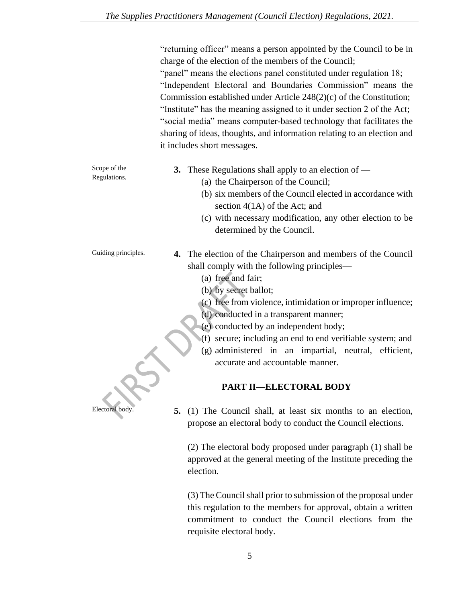|                              | "returning officer" means a person appointed by the Council to be in<br>charge of the election of the members of the Council;<br>"panel" means the elections panel constituted under regulation 18;<br>"Independent Electoral and Boundaries Commission" means the<br>Commission established under Article $248(2)(c)$ of the Constitution;<br>"Institute" has the meaning assigned to it under section 2 of the Act;<br>"social media" means computer-based technology that facilitates the<br>sharing of ideas, thoughts, and information relating to an election and<br>it includes short messages. |
|------------------------------|--------------------------------------------------------------------------------------------------------------------------------------------------------------------------------------------------------------------------------------------------------------------------------------------------------------------------------------------------------------------------------------------------------------------------------------------------------------------------------------------------------------------------------------------------------------------------------------------------------|
| Scope of the<br>Regulations. | <b>3.</b> These Regulations shall apply to an election of —<br>(a) the Chairperson of the Council;<br>(b) six members of the Council elected in accordance with<br>section $4(1A)$ of the Act; and                                                                                                                                                                                                                                                                                                                                                                                                     |
|                              | (c) with necessary modification, any other election to be<br>determined by the Council.                                                                                                                                                                                                                                                                                                                                                                                                                                                                                                                |
| Guiding principles.          | 4. The election of the Chairperson and members of the Council<br>shall comply with the following principles—<br>(a) free and fair;<br>(b) by secret ballot;<br>(c) free from violence, intimidation or improper influence;<br>(d) conducted in a transparent manner;<br>(e) conducted by an independent body;<br>(f) secure; including an end to end verifiable system; and<br>(g) administered in an impartial, neutral, efficient,<br>accurate and accountable manner.                                                                                                                               |
|                              | <b>PART II-ELECTORAL BODY</b>                                                                                                                                                                                                                                                                                                                                                                                                                                                                                                                                                                          |
| Electoral body.              | (1) The Council shall, at least six months to an election,<br>5.<br>propose an electoral body to conduct the Council elections.                                                                                                                                                                                                                                                                                                                                                                                                                                                                        |
|                              | (2) The electoral body proposed under paragraph (1) shall be<br>approved at the general meeting of the Institute preceding the<br>election.                                                                                                                                                                                                                                                                                                                                                                                                                                                            |

(3) The Council shall prior to submission of the proposal under this regulation to the members for approval, obtain a written commitment to conduct the Council elections from the requisite electoral body.

5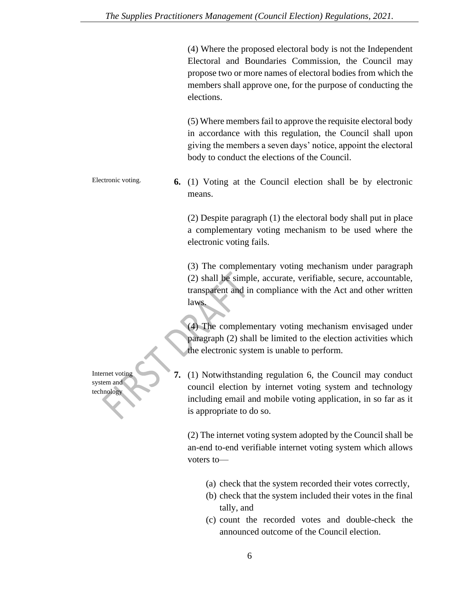(4) Where the proposed electoral body is not the Independent Electoral and Boundaries Commission, the Council may propose two or more names of electoral bodies from which the members shall approve one, for the purpose of conducting the elections.

(5) Where members fail to approve the requisite electoral body in accordance with this regulation, the Council shall upon giving the members a seven days' notice, appoint the electoral body to conduct the elections of the Council.

Electronic voting. **6.** (1) Voting at the Council election shall be by electronic means.

> (2) Despite paragraph (1) the electoral body shall put in place a complementary voting mechanism to be used where the electronic voting fails.

> (3) The complementary voting mechanism under paragraph (2) shall be simple, accurate, verifiable, secure, accountable, transparent and in compliance with the Act and other written laws.

> (4) The complementary voting mechanism envisaged under paragraph (2) shall be limited to the election activities which the electronic system is unable to perform.

**7.** (1) Notwithstanding regulation 6, the Council may conduct council election by internet voting system and technology including email and mobile voting application, in so far as it is appropriate to do so.

(2) The internet voting system adopted by the Council shall be an-end to-end verifiable internet voting system which allows voters to—

- (a) check that the system recorded their votes correctly,
- (b) check that the system included their votes in the final tally, and
- (c) count the recorded votes and double-check the announced outcome of the Council election.

Internet voting system and technology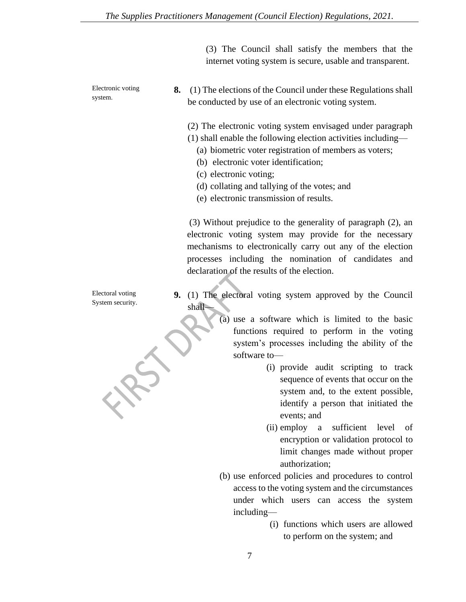(3) The Council shall satisfy the members that the internet voting system is secure, usable and transparent.

Electronic voting system.

**8.** (1) The elections of the Council under these Regulations shall be conducted by use of an electronic voting system.

(2) The electronic voting system envisaged under paragraph

(1) shall enable the following election activities including—

- (a) biometric voter registration of members as voters;
- (b) electronic voter identification;
- (c) electronic voting;
- (d) collating and tallying of the votes; and
- (e) electronic transmission of results.

(3) Without prejudice to the generality of paragraph (2), an electronic voting system may provide for the necessary mechanisms to electronically carry out any of the election processes including the nomination of candidates and declaration of the results of the election.

Electoral voting System security. **9.** (1) The electoral voting system approved by the Council shall—

> (a) use a software which is limited to the basic functions required to perform in the voting system's processes including the ability of the software to—

- (i) provide audit scripting to track sequence of events that occur on the system and, to the extent possible, identify a person that initiated the events; and
- (ii) employ a sufficient level of encryption or validation protocol to limit changes made without proper authorization;
- (b) use enforced policies and procedures to control access to the voting system and the circumstances under which users can access the system including—
	- (i) functions which users are allowed to perform on the system; and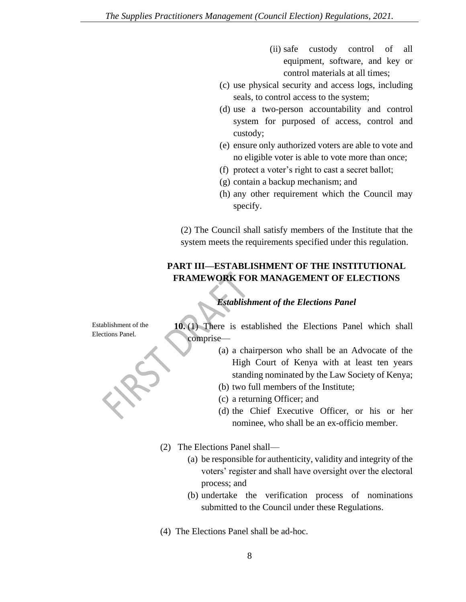- (ii) safe custody control of all equipment, software, and key or control materials at all times;
- (c) use physical security and access logs, including seals, to control access to the system;
- (d) use a two-person accountability and control system for purposed of access, control and custody;
- (e) ensure only authorized voters are able to vote and no eligible voter is able to vote more than once;
- (f) protect a voter's right to cast a secret ballot;
- (g) contain a backup mechanism; and
- (h) any other requirement which the Council may specify.

(2) The Council shall satisfy members of the Institute that the system meets the requirements specified under this regulation.

## **PART III—ESTABLISHMENT OF THE INSTITUTIONAL FRAMEWORK FOR MANAGEMENT OF ELECTIONS**

## *Establishment of the Elections Panel*

Establishment of the Elections Panel*.*

**10.** (1) There is established the Elections Panel which shall comprise—

- (a) a chairperson who shall be an Advocate of the High Court of Kenya with at least ten years standing nominated by the Law Society of Kenya;
- (b) two full members of the Institute;
- (c) a returning Officer; and
- (d) the Chief Executive Officer, or his or her nominee, who shall be an ex-officio member.
- (2) The Elections Panel shall—
	- (a) be responsible for authenticity, validity and integrity of the voters' register and shall have oversight over the electoral process; and
	- (b) undertake the verification process of nominations submitted to the Council under these Regulations.

(4) The Elections Panel shall be ad-hoc.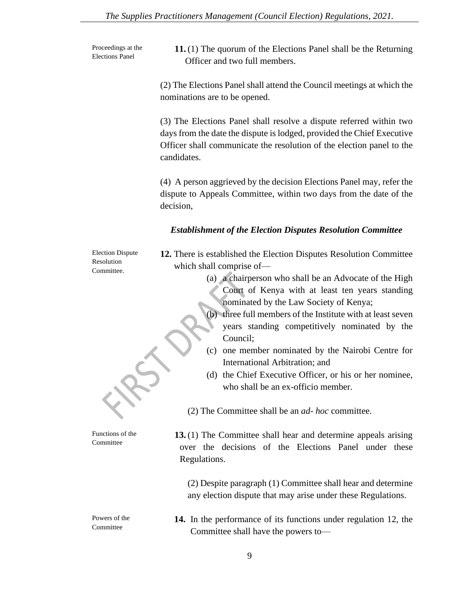Proceedings at the Elections Panel

**11.** (1) The quorum of the Elections Panel shall be the Returning Officer and two full members.

(2) The Elections Panel shall attend the Council meetings at which the nominations are to be opened.

(3) The Elections Panel shall resolve a dispute referred within two days from the date the dispute is lodged, provided the Chief Executive Officer shall communicate the resolution of the election panel to the candidates.

(4) A person aggrieved by the decision Elections Panel may, refer the dispute to Appeals Committee, within two days from the date of the decision,

### *Establishment of the Election Disputes Resolution Committee*

Election Dispute Resolution Committee.

**12.** There is established the Election Disputes Resolution Committee which shall comprise of—

- (a) a chairperson who shall be an Advocate of the High Court of Kenya with at least ten years standing nominated by the Law Society of Kenya;
- (b) three full members of the Institute with at least seven years standing competitively nominated by the Council;
- (c) one member nominated by the Nairobi Centre for International Arbitration; and
- (d) the Chief Executive Officer, or his or her nominee, who shall be an ex-officio member.

(2) The Committee shall be an *ad- hoc* committee.

**13.** (1) The Committee shall hear and determine appeals arising over the decisions of the Elections Panel under these Regulations.

(2) Despite paragraph (1) Committee shall hear and determine any election dispute that may arise under these Regulations.

**14.** In the performance of its functions under regulation 12, the Committee shall have the powers to—

Powers of the Committee

Functions of the Committee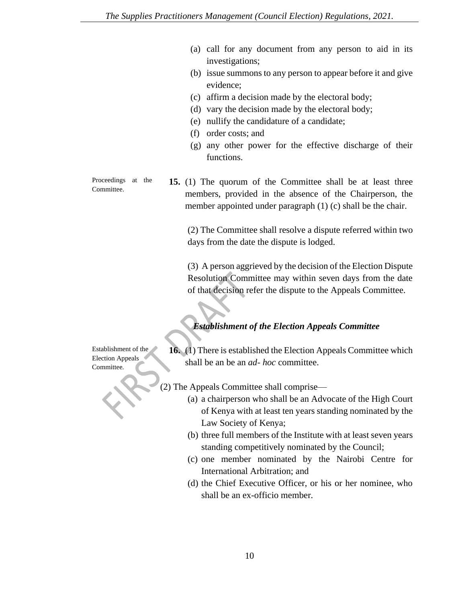- (a) call for any document from any person to aid in its investigations;
- (b) issue summons to any person to appear before it and give evidence;
- (c) affirm a decision made by the electoral body;
- (d) vary the decision made by the electoral body;
- (e) nullify the candidature of a candidate;
- (f) order costs; and
- (g) any other power for the effective discharge of their functions.

Proceedings at the **15.** (1) The quorum of the Committee shall be at least three members, provided in the absence of the Chairperson, the member appointed under paragraph (1) (c) shall be the chair.

> (2) The Committee shall resolve a dispute referred within two days from the date the dispute is lodged.

> (3) A person aggrieved by the decision of the Election Dispute Resolution Committee may within seven days from the date of that decision refer the dispute to the Appeals Committee.

# *Establishment of the Election Appeals Committee*

Establishment of the Election Appeals Committee*.*

Committee.

**16.** (1) There is established the Election Appeals Committee which shall be an be an *ad- hoc* committee.

- (2) The Appeals Committee shall comprise—
	- (a) a chairperson who shall be an Advocate of the High Court of Kenya with at least ten years standing nominated by the Law Society of Kenya;
	- (b) three full members of the Institute with at least seven years standing competitively nominated by the Council;
	- (c) one member nominated by the Nairobi Centre for International Arbitration; and
	- (d) the Chief Executive Officer, or his or her nominee, who shall be an ex-officio member.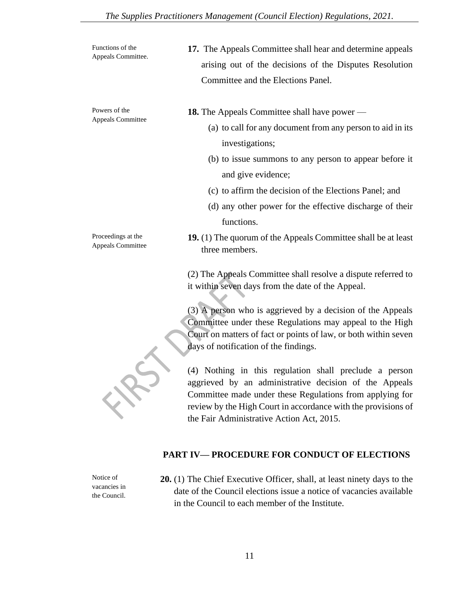| Functions of the<br>Appeals Committee.  | 17. The Appeals Committee shall hear and determine appeals<br>arising out of the decisions of the Disputes Resolution<br>Committee and the Elections Panel. |
|-----------------------------------------|-------------------------------------------------------------------------------------------------------------------------------------------------------------|
| Powers of the<br>Appeals Committee      | <b>18.</b> The Appeals Committee shall have power —<br>(a) to call for any document from any person to aid in its<br>investigations;                        |
|                                         | (b) to issue summons to any person to appear before it<br>and give evidence;                                                                                |
|                                         | (c) to affirm the decision of the Elections Panel; and<br>(d) any other power for the effective discharge of their                                          |
|                                         | functions.                                                                                                                                                  |
| Proceedings at the<br>Appeals Committee | <b>19.</b> (1) The quorum of the Appeals Committee shall be at least<br>three members.                                                                      |
|                                         | (2) The Appeals Committee shall resolve a dispute referred to<br>it within seven days from the date of the Appeal.                                          |

(3) A person who is aggrieved by a decision of the Appeals Committee under these Regulations may appeal to the High Court on matters of fact or points of law, or both within seven days of notification of the findings.

(4) Nothing in this regulation shall preclude a person aggrieved by an administrative decision of the Appeals Committee made under these Regulations from applying for review by the High Court in accordance with the provisions of the Fair Administrative Action Act, 2015.

## **PART IV— PROCEDURE FOR CONDUCT OF ELECTIONS**

Notice of vacancies in the Council. **20.** (1) The Chief Executive Officer, shall, at least ninety days to the date of the Council elections issue a notice of vacancies available in the Council to each member of the Institute.

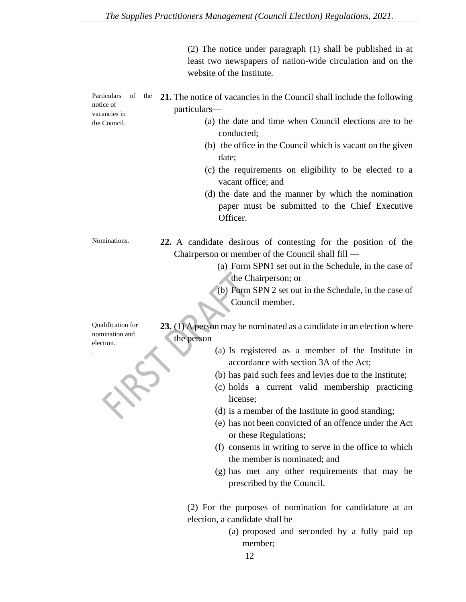(2) The notice under paragraph (1) shall be published in at least two newspapers of nation-wide circulation and on the website of the Institute.

| of<br>Particulars<br>the<br>notice of<br>vacancies in<br>the Council. | 21. The notice of vacancies in the Council shall include the following<br>particulars-<br>(a) the date and time when Council elections are to be<br>conducted;<br>(b) the office in the Council which is vacant on the given<br>date;<br>(c) the requirements on eligibility to be elected to a<br>vacant office; and<br>(d) the date and the manner by which the nomination<br>paper must be submitted to the Chief Executive<br>Officer. |
|-----------------------------------------------------------------------|--------------------------------------------------------------------------------------------------------------------------------------------------------------------------------------------------------------------------------------------------------------------------------------------------------------------------------------------------------------------------------------------------------------------------------------------|
| Nominations.                                                          | 22. A candidate desirous of contesting for the position of the                                                                                                                                                                                                                                                                                                                                                                             |
|                                                                       | Chairperson or member of the Council shall fill —<br>(a) Form SPN1 set out in the Schedule, in the case of                                                                                                                                                                                                                                                                                                                                 |
|                                                                       | the Chairperson; or                                                                                                                                                                                                                                                                                                                                                                                                                        |
|                                                                       | (b) Form SPN 2 set out in the Schedule, in the case of<br>Council member.                                                                                                                                                                                                                                                                                                                                                                  |
|                                                                       |                                                                                                                                                                                                                                                                                                                                                                                                                                            |
| Qualification for                                                     | 23. $(1)$ A person may be nominated as a candidate in an election where                                                                                                                                                                                                                                                                                                                                                                    |
| nomination and<br>election.                                           | the person-                                                                                                                                                                                                                                                                                                                                                                                                                                |
|                                                                       | (a) Is registered as a member of the Institute in                                                                                                                                                                                                                                                                                                                                                                                          |
|                                                                       | accordance with section 3A of the Act;                                                                                                                                                                                                                                                                                                                                                                                                     |
|                                                                       | (b) has paid such fees and levies due to the Institute;<br>(c) holds a current valid membership practicing<br>license;                                                                                                                                                                                                                                                                                                                     |
|                                                                       | (d) is a member of the Institute in good standing;                                                                                                                                                                                                                                                                                                                                                                                         |
|                                                                       | (e) has not been convicted of an offence under the Act<br>or these Regulations;                                                                                                                                                                                                                                                                                                                                                            |
|                                                                       | (f) consents in writing to serve in the office to which<br>the member is nominated; and                                                                                                                                                                                                                                                                                                                                                    |
|                                                                       | (g) has met any other requirements that may be                                                                                                                                                                                                                                                                                                                                                                                             |
|                                                                       | prescribed by the Council.                                                                                                                                                                                                                                                                                                                                                                                                                 |
|                                                                       | (2) For the purposes of nomination for candidature at an                                                                                                                                                                                                                                                                                                                                                                                   |
|                                                                       | election, a candidate shall be                                                                                                                                                                                                                                                                                                                                                                                                             |
|                                                                       | (a) proposed and seconded by a fully paid up<br>member;                                                                                                                                                                                                                                                                                                                                                                                    |

12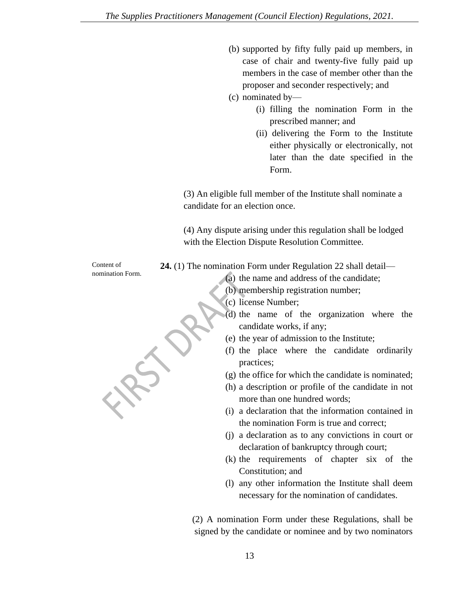- (b) supported by fifty fully paid up members, in case of chair and twenty-five fully paid up members in the case of member other than the proposer and seconder respectively; and
- (c) nominated by—
	- (i) filling the nomination Form in the prescribed manner; and
	- (ii) delivering the Form to the Institute either physically or electronically, not later than the date specified in the Form.

(3) An eligible full member of the Institute shall nominate a candidate for an election once.

(4) Any dispute arising under this regulation shall be lodged with the Election Dispute Resolution Committee.

**24.** (1) The nomination Form under Regulation 22 shall detail—

(a) the name and address of the candidate;

- (b) membership registration number;
- (c) license Number;
- (d) the name of the organization where the candidate works, if any;
- (e) the year of admission to the Institute;
- (f) the place where the candidate ordinarily practices;
- (g) the office for which the candidate is nominated;
- (h) a description or profile of the candidate in not more than one hundred words;
- (i) a declaration that the information contained in the nomination Form is true and correct;
- (j) a declaration as to any convictions in court or declaration of bankruptcy through court;
- (k) the requirements of chapter six of the Constitution; and
- (l) any other information the Institute shall deem necessary for the nomination of candidates.

 (2) A nomination Form under these Regulations, shall be signed by the candidate or nominee and by two nominators

Content of nomination Form.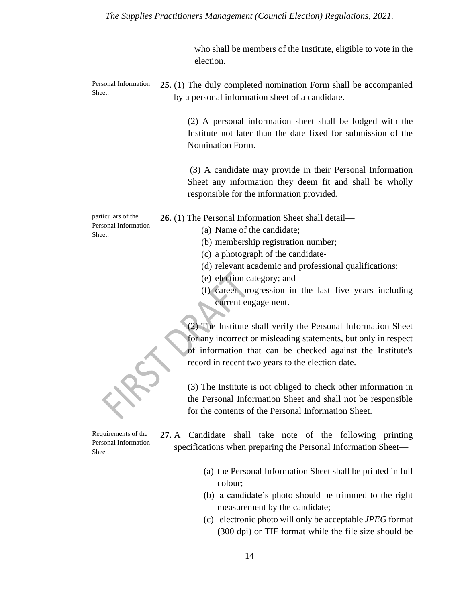who shall be members of the Institute, eligible to vote in the election.

Personal Information Sheet. **25.** (1) The duly completed nomination Form shall be accompanied by a personal information sheet of a candidate.

> (2) A personal information sheet shall be lodged with the Institute not later than the date fixed for submission of the Nomination Form.

> (3) A candidate may provide in their Personal Information Sheet any information they deem fit and shall be wholly responsible for the information provided.

particulars of the Personal Information Sheet.

Requirements of the Personal Information Sheet.

(a) Name of the candidate;

**26.** (1) The Personal Information Sheet shall detail—

- (b) membership registration number;
- (c) a photograph of the candidate-
- (d) relevant academic and professional qualifications;
- (e) election category; and
- (f) career progression in the last five years including current engagement.

(2) The Institute shall verify the Personal Information Sheet for any incorrect or misleading statements, but only in respect of information that can be checked against the Institute's record in recent two years to the election date.

(3) The Institute is not obliged to check other information in the Personal Information Sheet and shall not be responsible for the contents of the Personal Information Sheet.

- **27.** A Candidate shall take note of the following printing specifications when preparing the Personal Information Sheet—
	- (a) the Personal Information Sheet shall be printed in full colour;
	- (b) a candidate's photo should be trimmed to the right measurement by the candidate;
	- (c) electronic photo will only be acceptable *JPEG* format (300 dpi) or TIF format while the file size should be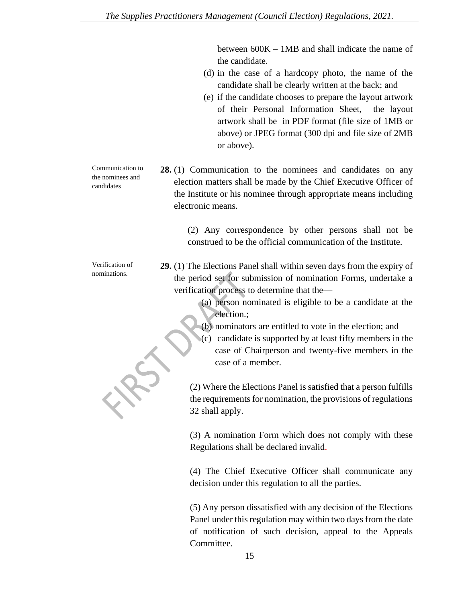between 600K – 1MB and shall indicate the name of the candidate.

- (d) in the case of a hardcopy photo, the name of the candidate shall be clearly written at the back; and
- (e) if the candidate chooses to prepare the layout artwork of their Personal Information Sheet, the layout artwork shall be in PDF format (file size of 1MB or above) or JPEG format (300 dpi and file size of 2MB or above).

**28.** (1) Communication to the nominees and candidates on any election matters shall be made by the Chief Executive Officer of the Institute or his nominee through appropriate means including electronic means.

> (2) Any correspondence by other persons shall not be construed to be the official communication of the Institute.

**29.** (1) The Elections Panel shall within seven days from the expiry of the period set for submission of nomination Forms, undertake a verification process to determine that the—

> (a) person nominated is eligible to be a candidate at the election.;

(b) nominators are entitled to vote in the election; and

(c) candidate is supported by at least fifty members in the case of Chairperson and twenty-five members in the case of a member.

(2) Where the Elections Panel is satisfied that a person fulfills the requirements for nomination, the provisions of regulations 32 shall apply.

(3) A nomination Form which does not comply with these Regulations shall be declared invalid.

(4) The Chief Executive Officer shall communicate any decision under this regulation to all the parties.

(5) Any person dissatisfied with any decision of the Elections Panel under this regulation may within two days from the date of notification of such decision, appeal to the Appeals Committee.

Communication to the nominees and candidates

Verification of nominations.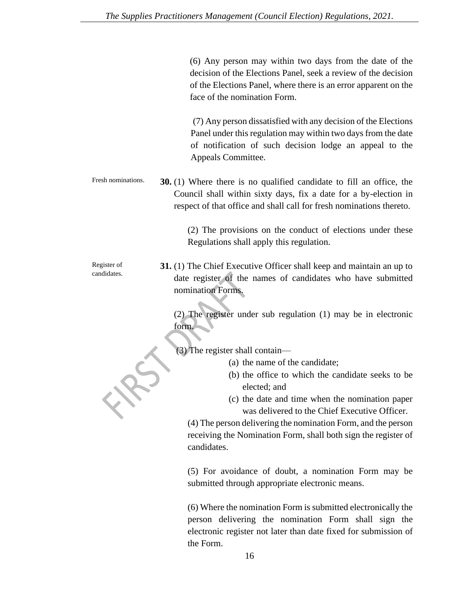(6) Any person may within two days from the date of the decision of the Elections Panel, seek a review of the decision of the Elections Panel, where there is an error apparent on the face of the nomination Form.

(7) Any person dissatisfied with any decision of the Elections Panel under this regulation may within two days from the date of notification of such decision lodge an appeal to the Appeals Committee.

Fresh nominations. **30.** (1) Where there is no qualified candidate to fill an office, the Council shall within sixty days, fix a date for a by-election in respect of that office and shall call for fresh nominations thereto.

> (2) The provisions on the conduct of elections under these Regulations shall apply this regulation.

**31.** (1) The Chief Executive Officer shall keep and maintain an up to date register of the names of candidates who have submitted nomination Forms.

> (2) The register under sub regulation (1) may be in electronic form.

(3) The register shall contain—

- (a) the name of the candidate;
- (b) the office to which the candidate seeks to be elected; and
- (c) the date and time when the nomination paper was delivered to the Chief Executive Officer.

(4) The person delivering the nomination Form, and the person receiving the Nomination Form, shall both sign the register of candidates.

(5) For avoidance of doubt, a nomination Form may be submitted through appropriate electronic means.

(6) Where the nomination Form is submitted electronically the person delivering the nomination Form shall sign the electronic register not later than date fixed for submission of the Form.

Register of candidates.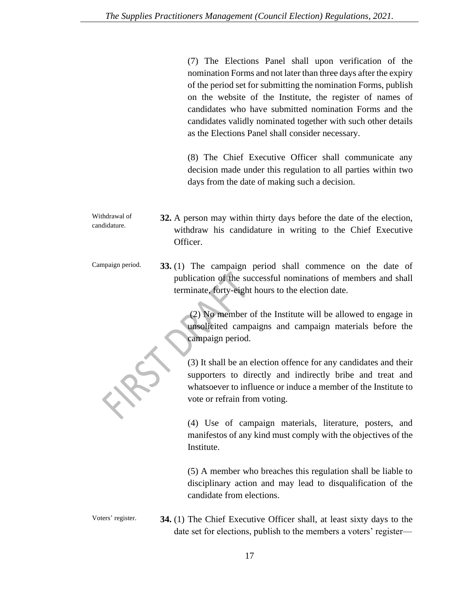(7) The Elections Panel shall upon verification of the nomination Forms and not later than three days after the expiry of the period set for submitting the nomination Forms, publish on the website of the Institute, the register of names of candidates who have submitted nomination Forms and the candidates validly nominated together with such other details as the Elections Panel shall consider necessary.

(8) The Chief Executive Officer shall communicate any decision made under this regulation to all parties within two days from the date of making such a decision.

- Withdrawal of candidature. **32.** A person may within thirty days before the date of the election, withdraw his candidature in writing to the Chief Executive Officer.
- Campaign period. **33.** (1) The campaign period shall commence on the date of publication of the successful nominations of members and shall terminate, forty-eight hours to the election date.

(2) No member of the Institute will be allowed to engage in unsolicited campaigns and campaign materials before the campaign period.

(3) It shall be an election offence for any candidates and their supporters to directly and indirectly bribe and treat and whatsoever to influence or induce a member of the Institute to vote or refrain from voting.

(4) Use of campaign materials, literature, posters, and manifestos of any kind must comply with the objectives of the Institute.

(5) A member who breaches this regulation shall be liable to disciplinary action and may lead to disqualification of the candidate from elections.

Voters' register. **34.** (1) The Chief Executive Officer shall, at least sixty days to the date set for elections, publish to the members a voters' register—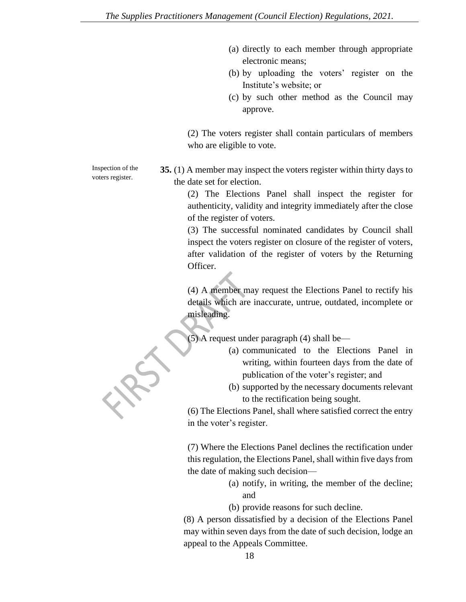- (a) directly to each member through appropriate electronic means;
- (b) by uploading the voters' register on the Institute's website; or
- (c) by such other method as the Council may approve.

(2) The voters register shall contain particulars of members who are eligible to vote.

**35.** (1) A member may inspect the voters register within thirty days to the date set for election.

(2) The Elections Panel shall inspect the register for authenticity, validity and integrity immediately after the close of the register of voters.

(3) The successful nominated candidates by Council shall inspect the voters register on closure of the register of voters, after validation of the register of voters by the Returning Officer.

(4) A member may request the Elections Panel to rectify his details which are inaccurate, untrue, outdated, incomplete or misleading.

(5) A request under paragraph (4) shall be—

- (a) communicated to the Elections Panel in writing, within fourteen days from the date of publication of the voter's register; and
- (b) supported by the necessary documents relevant to the rectification being sought.

(6) The Elections Panel, shall where satisfied correct the entry in the voter's register.

(7) Where the Elections Panel declines the rectification under this regulation, the Elections Panel, shall within five days from the date of making such decision—

> (a) notify, in writing, the member of the decline; and

(b) provide reasons for such decline.

(8) A person dissatisfied by a decision of the Elections Panel may within seven days from the date of such decision, lodge an appeal to the Appeals Committee.

Inspection of the voters register.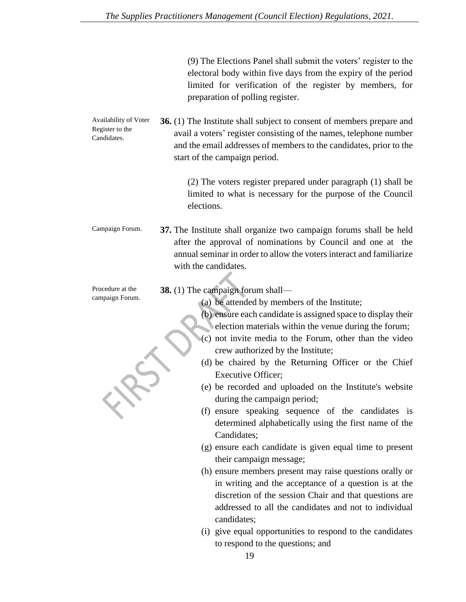(9) The Elections Panel shall submit the voters' register to the electoral body within five days from the expiry of the period limited for verification of the register by members, for preparation of polling register.

Availability of Voter Register to the Candidates. **36.** (1) The Institute shall subject to consent of members prepare and avail a voters' register consisting of the names, telephone number and the email addresses of members to the candidates, prior to the start of the campaign period.

> (2) The voters register prepared under paragraph (1) shall be limited to what is necessary for the purpose of the Council elections.

Campaign Forum. **37.** The Institute shall organize two campaign forums shall be held after the approval of nominations by Council and one at the annual seminar in order to allow the voters interact and familiarize with the candidates.

**38.** (1) The campaign forum shall—

(a) be attended by members of the Institute;

- (b) ensure each candidate is assigned space to display their election materials within the venue during the forum;
- (c) not invite media to the Forum, other than the video crew authorized by the Institute;
- (d) be chaired by the Returning Officer or the Chief Executive Officer;
- (e) be recorded and uploaded on the Institute's website during the campaign period;
- (f) ensure speaking sequence of the candidates is determined alphabetically using the first name of the Candidates;
- (g) ensure each candidate is given equal time to present their campaign message;
- (h) ensure members present may raise questions orally or in writing and the acceptance of a question is at the discretion of the session Chair and that questions are addressed to all the candidates and not to individual candidates;
- (i) give equal opportunities to respond to the candidates to respond to the questions; and

Procedure at the campaign Forum.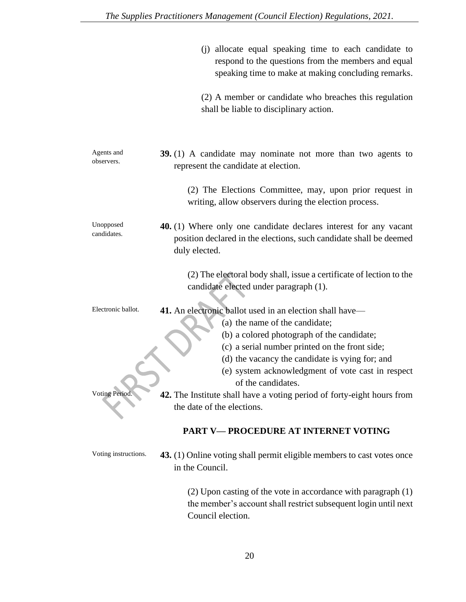|                          | (j) allocate equal speaking time to each candidate to<br>respond to the questions from the members and equal<br>speaking time to make at making concluding remarks.                                                                                                                                                      |
|--------------------------|--------------------------------------------------------------------------------------------------------------------------------------------------------------------------------------------------------------------------------------------------------------------------------------------------------------------------|
|                          | (2) A member or candidate who breaches this regulation<br>shall be liable to disciplinary action.                                                                                                                                                                                                                        |
| Agents and<br>observers. | 39. (1) A candidate may nominate not more than two agents to<br>represent the candidate at election.                                                                                                                                                                                                                     |
|                          | (2) The Elections Committee, may, upon prior request in<br>writing, allow observers during the election process.                                                                                                                                                                                                         |
| Unopposed<br>candidates. | 40. (1) Where only one candidate declares interest for any vacant<br>position declared in the elections, such candidate shall be deemed<br>duly elected.                                                                                                                                                                 |
|                          | (2) The electoral body shall, issue a certificate of lection to the<br>candidate elected under paragraph (1).                                                                                                                                                                                                            |
| Electronic ballot.       | 41. An electronic ballot used in an election shall have—<br>(a) the name of the candidate;<br>(b) a colored photograph of the candidate;<br>(c) a serial number printed on the front side;<br>(d) the vacancy the candidate is vying for; and<br>(e) system acknowledgment of vote cast in respect<br>of the candidates. |
| Voting Period.           | <b>42.</b> The Institute shall have a voting period of forty-eight hours from<br>the date of the elections.                                                                                                                                                                                                              |
|                          | <b>PART V-PROCEDURE AT INTERNET VOTING</b>                                                                                                                                                                                                                                                                               |
| Voting instructions.     | 43. (1) Online voting shall permit eligible members to cast votes once<br>in the Council.                                                                                                                                                                                                                                |

(2) Upon casting of the vote in accordance with paragraph (1) the member's account shall restrict subsequent login until next Council election.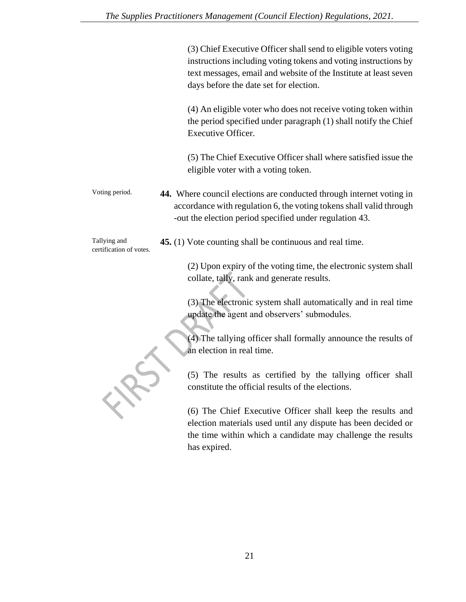|                                         | (3) Chief Executive Officer shall send to eligible voters voting<br>instructions including voting tokens and voting instructions by<br>text messages, email and website of the Institute at least seven<br>days before the date set for election. |
|-----------------------------------------|---------------------------------------------------------------------------------------------------------------------------------------------------------------------------------------------------------------------------------------------------|
|                                         | (4) An eligible voter who does not receive voting token within<br>the period specified under paragraph (1) shall notify the Chief<br>Executive Officer.                                                                                           |
|                                         | (5) The Chief Executive Officer shall where satisfied issue the<br>eligible voter with a voting token.                                                                                                                                            |
| Voting period.                          | 44. Where council elections are conducted through internet voting in<br>accordance with regulation 6, the voting tokens shall valid through<br>-out the election period specified under regulation 43.                                            |
| Tallying and<br>certification of votes. | 45. (1) Vote counting shall be continuous and real time.                                                                                                                                                                                          |
|                                         | (2) Upon expiry of the voting time, the electronic system shall<br>collate, tally, rank and generate results.                                                                                                                                     |
|                                         | (3) The electronic system shall automatically and in real time<br>update the agent and observers' submodules.                                                                                                                                     |
|                                         | (4) The tallying officer shall formally announce the results of<br>an election in real time.                                                                                                                                                      |
|                                         | (5) The results as certified by the tallying officer shall<br>constitute the official results of the elections.                                                                                                                                   |
|                                         | (6) The Chief Executive Officer shall keep the results and<br>election materials used until any dispute has been decided or<br>the time within which a candidate may challenge the results                                                        |

has expired.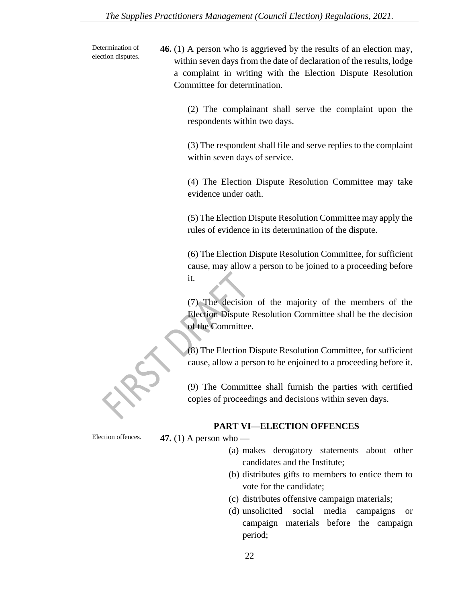Determination of election disputes. **46.** (1) A person who is aggrieved by the results of an election may, within seven days from the date of declaration of the results, lodge a complaint in writing with the Election Dispute Resolution Committee for determination.

> (2) The complainant shall serve the complaint upon the respondents within two days.

> (3) The respondent shall file and serve replies to the complaint within seven days of service.

> (4) The Election Dispute Resolution Committee may take evidence under oath.

> (5) The Election Dispute Resolution Committee may apply the rules of evidence in its determination of the dispute.

> (6) The Election Dispute Resolution Committee, for sufficient cause, may allow a person to be joined to a proceeding before it.

> (7) The decision of the majority of the members of the Election Dispute Resolution Committee shall be the decision of the Committee.

> (8) The Election Dispute Resolution Committee, for sufficient cause, allow a person to be enjoined to a proceeding before it.

> (9) The Committee shall furnish the parties with certified copies of proceedings and decisions within seven days.

#### **PART VI—ELECTION OFFENCES**

Election offences. **47.** (1) A person who **—**

- (a) makes derogatory statements about other candidates and the Institute;
- (b) distributes gifts to members to entice them to vote for the candidate;
- (c) distributes offensive campaign materials;
- (d) unsolicited social media campaigns or campaign materials before the campaign period;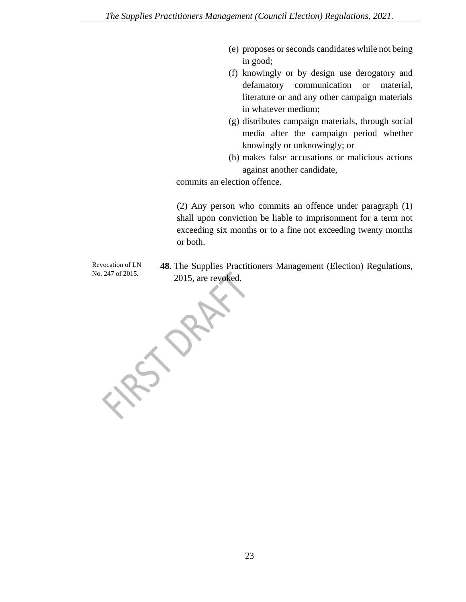- (e) proposes or seconds candidates while not being in good;
- (f) knowingly or by design use derogatory and defamatory communication or material, literature or and any other campaign materials in whatever medium;
- (g) distributes campaign materials, through social media after the campaign period whether knowingly or unknowingly; or
- (h) makes false accusations or malicious actions against another candidate,

commits an election offence.

(2) Any person who commits an offence under paragraph (1) shall upon conviction be liable to imprisonment for a term not exceeding six months or to a fine not exceeding twenty months or both.

Revocation of LN No. 247 of 2015.

**48.** The Supplies Practitioners Management (Election) Regulations, 2015, are revoked.

LAS OF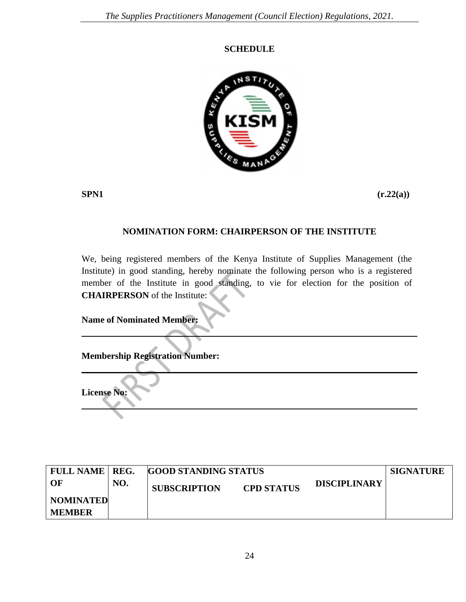### **SCHEDULE**



**SPN1 (r.22(a))** 

## **NOMINATION FORM: CHAIRPERSON OF THE INSTITUTE**

We, being registered members of the Kenya Institute of Supplies Management (the Institute) in good standing, hereby nominate the following person who is a registered member of the Institute in good standing, to vie for election for the position of **CHAIRPERSON** of the Institute:

**Name of Nominated Member:**

**Membership Registration Number:**

**License No:**

| <b>FULL NAME   REG.</b> |     | <b>GOOD STANDING STATUS</b> | <b>SIGNATURE</b>    |  |  |
|-------------------------|-----|-----------------------------|---------------------|--|--|
| - OF                    | NO. | <b>SUBSCRIPTION</b>         | <b>DISCIPLINARY</b> |  |  |
| NOMINATED               |     |                             |                     |  |  |
| <b>MEMBER</b>           |     |                             |                     |  |  |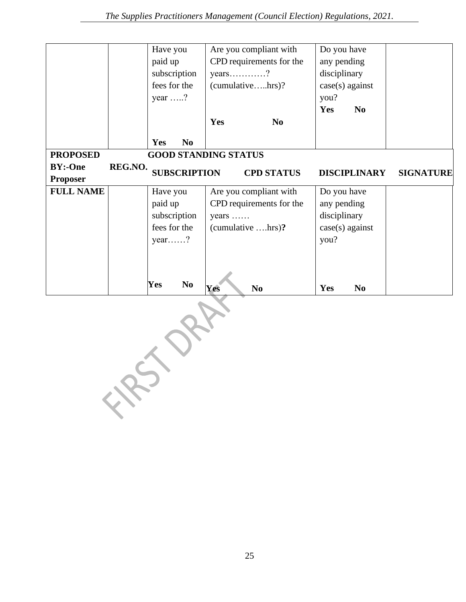|                            |         | Have you<br>paid up<br>subscription<br>fees for the<br>year $\dots$ ? |                     | Yes                         | $years$ ?<br>(cumulativehrs)?       | Are you compliant with<br>CPD requirements for the<br>N <sub>0</sub> | Do you have<br>any pending<br>disciplinary<br>you?<br>Yes | case(s) against<br>N <sub>o</sub>   |                  |
|----------------------------|---------|-----------------------------------------------------------------------|---------------------|-----------------------------|-------------------------------------|----------------------------------------------------------------------|-----------------------------------------------------------|-------------------------------------|------------------|
|                            |         | Yes                                                                   | N <sub>0</sub>      |                             |                                     |                                                                      |                                                           |                                     |                  |
| <b>PROPOSED</b>            |         |                                                                       |                     | <b>GOOD STANDING STATUS</b> |                                     |                                                                      |                                                           |                                     |                  |
| <b>BY:-One</b><br>Proposer | REG.NO. |                                                                       | <b>SUBSCRIPTION</b> |                             |                                     | <b>CPD STATUS</b>                                                    |                                                           | <b>DISCIPLINARY</b>                 | <b>SIGNATURE</b> |
| <b>FULL NAME</b>           |         | Have you<br>paid up<br>subscription<br>fees for the<br>year?<br>Yes   | N <sub>0</sub>      | years<br>Yes                | (cumulative hrs)?<br>N <sub>0</sub> | Are you compliant with<br>CPD requirements for the                   | Do you have<br>any pending<br>disciplinary<br>you?<br>Yes | $case(s)$ against<br>N <sub>o</sub> |                  |
|                            |         |                                                                       |                     |                             |                                     |                                                                      |                                                           |                                     |                  |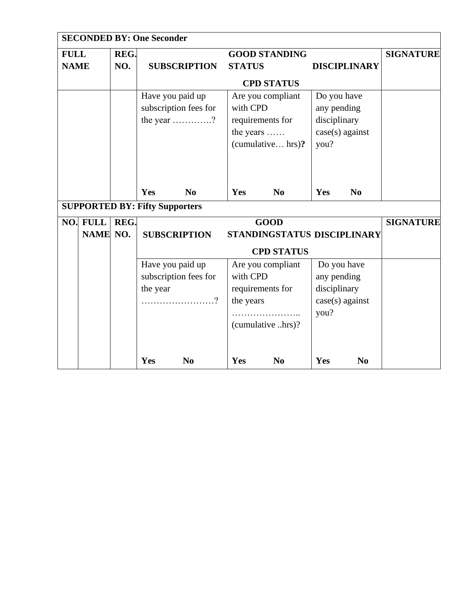| <b>SECONDED BY: One Seconder</b>      |             |                                                                                |          |                                           |                                                                                          |                             |                                                                 |                                  |                  |  |  |
|---------------------------------------|-------------|--------------------------------------------------------------------------------|----------|-------------------------------------------|------------------------------------------------------------------------------------------|-----------------------------|-----------------------------------------------------------------|----------------------------------|------------------|--|--|
| <b>FULL</b>                           |             | REG.                                                                           |          |                                           | <b>GOOD STANDING</b>                                                                     |                             |                                                                 |                                  | <b>SIGNATURE</b> |  |  |
| <b>NAME</b>                           |             | NO.<br><b>SUBSCRIPTION</b>                                                     |          |                                           | <b>STATUS</b>                                                                            |                             | <b>DISCIPLINARY</b>                                             |                                  |                  |  |  |
|                                       |             |                                                                                |          |                                           |                                                                                          | <b>CPD STATUS</b>           |                                                                 |                                  |                  |  |  |
|                                       |             | Have you paid up<br>subscription fees for<br>the year $\dots\dots\dots\dots$ ? |          |                                           | Are you compliant<br>with CPD<br>requirements for<br>the years<br>(cumulative hrs)?      |                             | Do you have<br>any pending<br>disciplinary<br>$case(s)$ against |                                  |                  |  |  |
| <b>SUPPORTED BY: Fifty Supporters</b> |             |                                                                                | Yes      | N <sub>0</sub>                            | Yes                                                                                      | N <sub>0</sub>              | Yes                                                             | N <sub>0</sub>                   |                  |  |  |
| NO.                                   | <b>FULL</b> | REG.                                                                           |          |                                           |                                                                                          | <b>GOOD</b>                 |                                                                 |                                  | <b>SIGNATURE</b> |  |  |
|                                       | NAME NO.    |                                                                                |          | <b>SUBSCRIPTION</b>                       |                                                                                          | STANDINGSTATUS DISCIPLINARY |                                                                 |                                  |                  |  |  |
|                                       |             |                                                                                |          | <b>CPD STATUS</b>                         |                                                                                          |                             |                                                                 |                                  |                  |  |  |
|                                       |             |                                                                                | the year | Have you paid up<br>subscription fees for | Are you compliant<br>with CPD<br>requirements for<br>the years<br>.<br>(cumulative hrs)? |                             | any pending<br>disciplinary<br>you?                             | Do you have<br>$case(s)$ against |                  |  |  |
|                                       |             |                                                                                | Yes      | N <sub>0</sub>                            | Yes                                                                                      | N <sub>0</sub>              | Yes                                                             | N <sub>0</sub>                   |                  |  |  |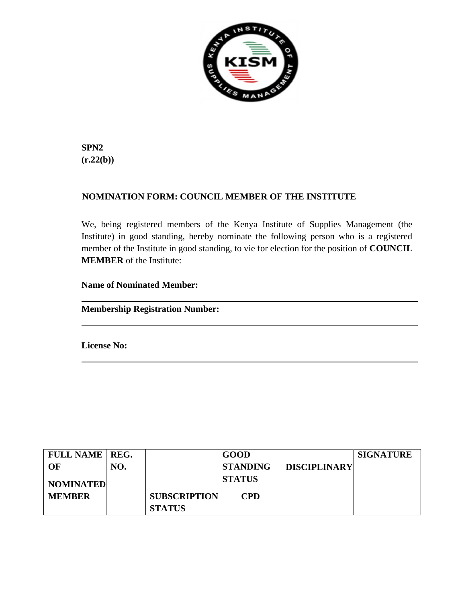

**SPN2**   $(r.22(b))$ 

## **NOMINATION FORM: COUNCIL MEMBER OF THE INSTITUTE**

We, being registered members of the Kenya Institute of Supplies Management (the Institute) in good standing, hereby nominate the following person who is a registered member of the Institute in good standing, to vie for election for the position of **COUNCIL MEMBER** of the Institute:

**Name of Nominated Member:**

**Membership Registration Number:**

**License No:**

| <b>FULL NAME   REG.</b> |     |                     | <b>GOOD</b>     |                     | <b>SIGNATURE</b> |
|-------------------------|-----|---------------------|-----------------|---------------------|------------------|
| OF                      | NO. |                     | <b>STANDING</b> | <b>DISCIPLINARY</b> |                  |
| <b>NOMINATED</b>        |     |                     | <b>STATUS</b>   |                     |                  |
| <b>MEMBER</b>           |     | <b>SUBSCRIPTION</b> | <b>CPD</b>      |                     |                  |
|                         |     | <b>STATUS</b>       |                 |                     |                  |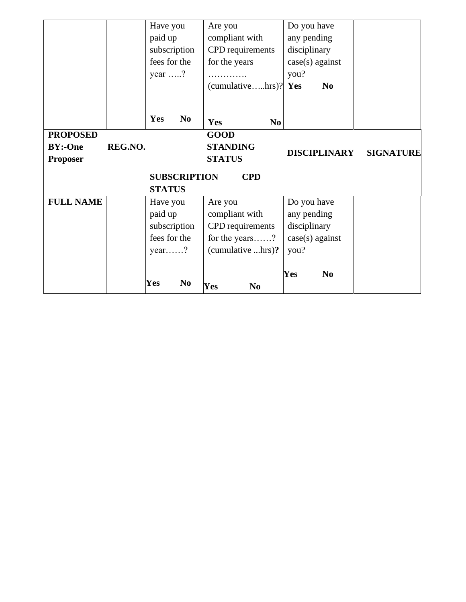|                     |         | Have you       |                | Are you               |                | Do you have         |                |                  |
|---------------------|---------|----------------|----------------|-----------------------|----------------|---------------------|----------------|------------------|
|                     |         | paid up        |                | compliant with        |                | any pending         |                |                  |
|                     |         | subscription   |                | CPD requirements      |                | disciplinary        |                |                  |
|                     |         | fees for the   |                | for the years         |                | $case(s)$ against   |                |                  |
|                     |         | year $\dots$ ? |                | .                     |                | you?                |                |                  |
|                     |         |                |                | (cumulativehrs)? Yes  |                |                     | N <sub>0</sub> |                  |
|                     |         |                |                |                       |                |                     |                |                  |
|                     |         | Yes            | N <sub>0</sub> | <b>Yes</b>            | N <sub>0</sub> |                     |                |                  |
| <b>PROPOSED</b>     |         |                |                | <b>GOOD</b>           |                |                     |                |                  |
| <b>BY:-One</b>      | REG.NO. |                |                | <b>STANDING</b>       |                |                     |                | <b>SIGNATURE</b> |
| <b>Proposer</b>     |         |                |                | <b>STATUS</b>         |                | <b>DISCIPLINARY</b> |                |                  |
| <b>SUBSCRIPTION</b> |         |                |                | <b>CPD</b>            |                |                     |                |                  |
|                     |         |                |                |                       |                |                     |                |                  |
|                     |         | <b>STATUS</b>  |                |                       |                |                     |                |                  |
| <b>FULL NAME</b>    |         | Have you       |                | Are you               |                | Do you have         |                |                  |
|                     |         | paid up        |                | compliant with        |                | any pending         |                |                  |
|                     |         | subscription   |                | CPD requirements      |                | disciplinary        |                |                  |
|                     |         | fees for the   |                | for the years?        |                | $case(s)$ against   |                |                  |
|                     |         | year?          |                | (cumulative hrs)?     |                | you?                |                |                  |
|                     |         |                |                |                       |                |                     |                |                  |
|                     |         | Yes            | N <sub>0</sub> | Yes<br>N <sub>0</sub> |                | Yes                 | N <sub>0</sub> |                  |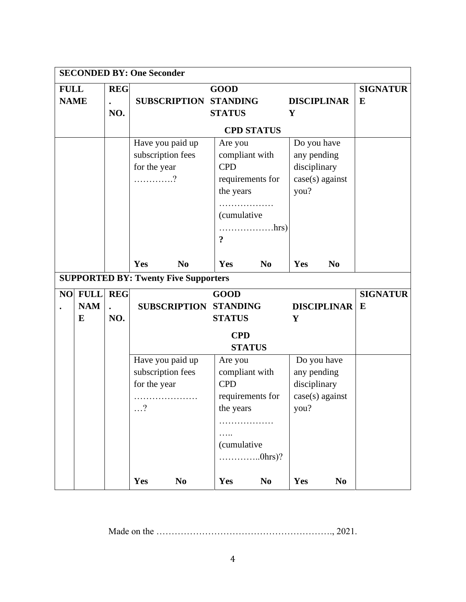| <b>SECONDED BY: One Seconder</b> |                                                                     |                                                              |                             |                                                                                                         |                                                                                               |                                                                 |                                                               |                    |                 |  |
|----------------------------------|---------------------------------------------------------------------|--------------------------------------------------------------|-----------------------------|---------------------------------------------------------------------------------------------------------|-----------------------------------------------------------------------------------------------|-----------------------------------------------------------------|---------------------------------------------------------------|--------------------|-----------------|--|
| <b>FULL</b>                      |                                                                     | <b>REG</b>                                                   |                             | <b>GOOD</b>                                                                                             |                                                                                               |                                                                 |                                                               |                    |                 |  |
| <b>NAME</b>                      |                                                                     |                                                              |                             | <b>SUBSCRIPTION</b>                                                                                     |                                                                                               | <b>STANDING</b>                                                 |                                                               | <b>DISCIPLINAR</b> | $\bf{E}$        |  |
|                                  |                                                                     | NO.                                                          |                             |                                                                                                         | <b>STATUS</b>                                                                                 | Y                                                               |                                                               |                    |                 |  |
|                                  |                                                                     |                                                              |                             |                                                                                                         |                                                                                               | <b>CPD STATUS</b>                                               |                                                               |                    |                 |  |
|                                  |                                                                     | Have you paid up<br>subscription fees<br>for the year<br>. ? |                             | Are you<br><b>CPD</b><br>$\overline{\mathbf{r}}$                                                        | compliant with<br>requirements for<br>the years<br>.<br><i>(cumulative</i> )<br>$\ldots$ hrs) |                                                                 | Do you have<br>any pending<br>disciplinary<br>case(s) against |                    |                 |  |
|                                  |                                                                     |                                                              | Yes                         | N <sub>0</sub>                                                                                          | Yes                                                                                           | N <sub>0</sub>                                                  | Yes                                                           | N <sub>0</sub>     |                 |  |
|                                  |                                                                     |                                                              |                             | <b>SUPPORTED BY: Twenty Five Supporters</b>                                                             |                                                                                               |                                                                 |                                                               |                    |                 |  |
|                                  | NO FULL                                                             | <b>REG</b>                                                   |                             |                                                                                                         | <b>GOOD</b>                                                                                   |                                                                 |                                                               |                    | <b>SIGNATUR</b> |  |
|                                  | <b>NAM</b>                                                          |                                                              |                             | <b>SUBSCRIPTION</b>                                                                                     | <b>STANDING</b>                                                                               |                                                                 |                                                               | <b>DISCIPLINAR</b> | E               |  |
|                                  | E                                                                   | NO.                                                          |                             |                                                                                                         | <b>STATUS</b>                                                                                 |                                                                 | Y                                                             |                    |                 |  |
|                                  |                                                                     |                                                              | <b>CPD</b><br><b>STATUS</b> |                                                                                                         |                                                                                               |                                                                 |                                                               |                    |                 |  |
|                                  | Have you paid up<br>subscription fees<br>for the year<br>$\ldots$ ? |                                                              | <b>CPD</b>                  | Are you<br>compliant with<br>requirements for<br>the years<br>.<br><i>(cumulative</i><br>$\dots$ 0hrs)? |                                                                                               | Do you have<br>any pending<br>disciplinary<br>$case(s)$ against |                                                               |                    |                 |  |
|                                  |                                                                     |                                                              | Yes                         | N <sub>0</sub>                                                                                          | Yes                                                                                           | N <sub>0</sub>                                                  | Yes                                                           | N <sub>0</sub>     |                 |  |

Made on the …………………………………………………., 2021.